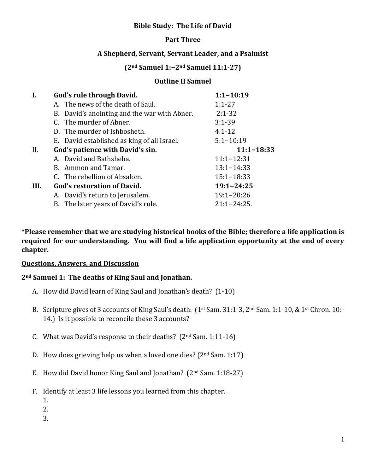### **Bible Study: The Life of David**

### **Part Three**

### **A Shepherd, Servant, Servant Leader, and a Psalmist**

# **(2nd Samuel 1:−2nd Samuel 11:1-27)**

#### **Outline II Samuel**

| I.   | God's rule through David.                    | $1:1 - 10:19$    |
|------|----------------------------------------------|------------------|
|      | A. The news of the death of Saul.            | $1:1 - 27$       |
|      | B. David's anointing and the war with Abner. | $2:1-32$         |
|      | C. The murder of Abner.                      | $3:1 - 39$       |
|      | D. The murder of Ishbosheth.                 | $4:1-12$         |
|      | E. David established as king of all Israel.  | $5:1 - 10:19$    |
| II.  | God's patience with David's sin.             | $11:1 - 18:33$   |
|      | A. David and Bathsheba.                      | $11:1 - 12:31$   |
|      | B. Ammon and Tamar.                          | $13:1 - 14:33$   |
|      | C. The rebellion of Absalom.                 | $15:1 - 18:33$   |
| III. | <b>God's restoration of David.</b>           | $19:1 - 24:25$   |
|      | A. David's return to Jerusalem.              | $19:1 - 20:26$   |
|      | B. The later years of David's rule.          | $21:1 - 24:25$ . |

**\*Please remember that we are studying historical books of the Bible; therefore a life application is required for our understanding. You will find a life application opportunity at the end of every chapter.**

#### **Questions, Answers, and Discussion**

#### **2nd Samuel 1: The deaths of King Saul and Jonathan.**

- A. How did David learn of King Saul and Jonathan's death? (1-10)
- B. Scripture gives of 3 accounts of King Saul's death: (1st Sam. 31:1-3, 2nd Sam. 1:1-10, & 1st Chron. 10:- 14.) Is it possible to reconcile these 3 accounts?
- C. What was David's response to their deaths?  $(2<sup>nd</sup> Sam. 1:11-16)$
- D. How does grieving help us when a loved one dies?  $(2<sup>nd</sup> Sam. 1:17)$
- E. How did David honor King Saul and Jonathan? (2nd Sam. 1:18-27)
- F. Identify at least 3 life lessons you learned from this chapter.
	- 1.
	- 2.
	- 3.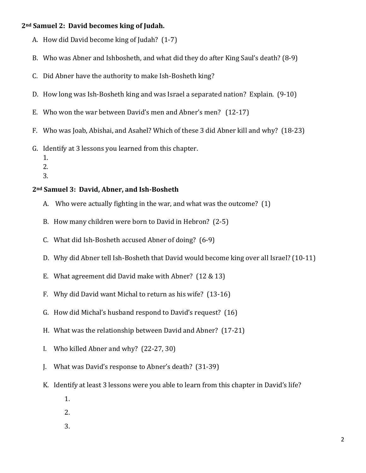#### **2nd Samuel 2: David becomes king of Judah.**

- A. How did David become king of Judah? (1-7)
- B. Who was Abner and Ishbosheth, and what did they do after King Saul's death? (8-9)
- C. Did Abner have the authority to make Ish-Bosheth king?
- D. How long was Ish-Bosheth king and was Israel a separated nation? Explain. (9-10)
- E. Who won the war between David's men and Abner's men? (12-17)
- F. Who was Joab, Abishai, and Asahel? Which of these 3 did Abner kill and why? (18-23)
- G. Identify at 3 lessons you learned from this chapter.
	- 1.
	- 2.
	- 3.

### **2nd Samuel 3: David, Abner, and Ish-Bosheth**

- A. Who were actually fighting in the war, and what was the outcome? (1)
- B. How many children were born to David in Hebron? (2-5)
- C. What did Ish-Bosheth accused Abner of doing? (6-9)
- D. Why did Abner tell Ish-Bosheth that David would become king over all Israel? (10-11)
- E. What agreement did David make with Abner? (12 & 13)
- F. Why did David want Michal to return as his wife? (13-16)
- G. How did Michal's husband respond to David's request? (16)
- H. What was the relationship between David and Abner? (17-21)
- I. Who killed Abner and why? (22-27, 30)
- J. What was David's response to Abner's death? (31-39)
- K. Identify at least 3 lessons were you able to learn from this chapter in David's life?
	- 1.
	- 2.
	- 3.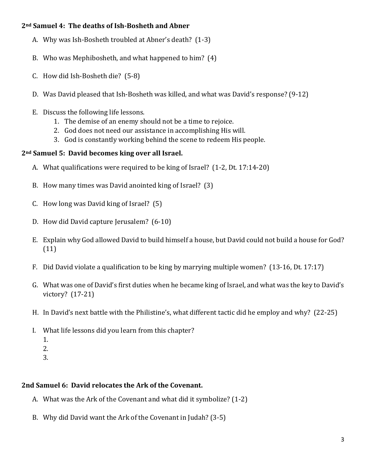# **2nd Samuel 4: The deaths of Ish-Bosheth and Abner**

- A. Why was Ish-Bosheth troubled at Abner's death? (1-3)
- B. Who was Mephibosheth, and what happened to him? (4)
- C. How did Ish-Bosheth die? (5-8)
- D. Was David pleased that Ish-Bosheth was killed, and what was David's response? (9-12)
- E. Discuss the following life lessons.
	- 1. The demise of an enemy should not be a time to rejoice.
	- 2. God does not need our assistance in accomplishing His will.
	- 3. God is constantly working behind the scene to redeem His people.

# **2nd Samuel 5: David becomes king over all Israel.**

- A. What qualifications were required to be king of Israel? (1-2, Dt. 17:14-20)
- B. How many times was David anointed king of Israel? (3)
- C. How long was David king of Israel? (5)
- D. How did David capture Jerusalem? (6-10)
- E. Explain why God allowed David to build himself a house, but David could not build a house for God? (11)
- F. Did David violate a qualification to be king by marrying multiple women? (13-16, Dt. 17:17)
- G. What was one of David's first duties when he became king of Israel, and what was the key to David's victory? (17-21)
- H. In David's next battle with the Philistine's, what different tactic did he employ and why? (22-25)
- I. What life lessons did you learn from this chapter?
	- 1.
	- 2.
	- 3.

# **2nd Samuel 6: David relocates the Ark of the Covenant.**

- A. What was the Ark of the Covenant and what did it symbolize? (1-2)
- B. Why did David want the Ark of the Covenant in Judah? (3-5)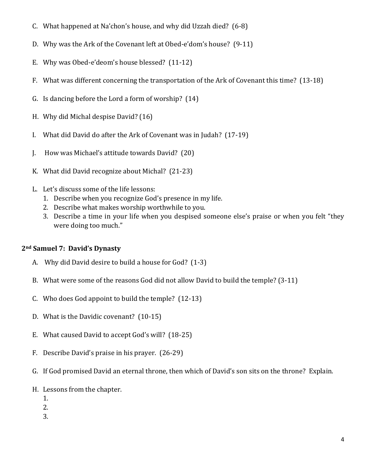- C. What happened at Na'chon's house, and why did Uzzah died? (6-8)
- D. Why was the Ark of the Covenant left at Obed-e'dom's house? (9-11)
- E. Why was Obed-e'deom's house blessed? (11-12)
- F. What was different concerning the transportation of the Ark of Covenant this time? (13-18)
- G. Is dancing before the Lord a form of worship? (14)
- H. Why did Michal despise David? (16)
- I. What did David do after the Ark of Covenant was in Judah? (17-19)
- J. How was Michael's attitude towards David? (20)
- K. What did David recognize about Michal? (21-23)
- L. Let's discuss some of the life lessons:
	- 1. Describe when you recognize God's presence in my life.
	- 2. Describe what makes worship worthwhile to you.
	- 3. Describe a time in your life when you despised someone else's praise or when you felt "they were doing too much."

# **2nd Samuel 7: David's Dynasty**

- A. Why did David desire to build a house for God? (1-3)
- B. What were some of the reasons God did not allow David to build the temple? (3-11)
- C. Who does God appoint to build the temple? (12-13)
- D. What is the Davidic covenant? (10-15)
- E. What caused David to accept God's will? (18-25)
- F. Describe David's praise in his prayer. (26-29)
- G. If God promised David an eternal throne, then which of David's son sits on the throne? Explain.
- H. Lessons from the chapter.
	- 1.
	- 2.
	- 3.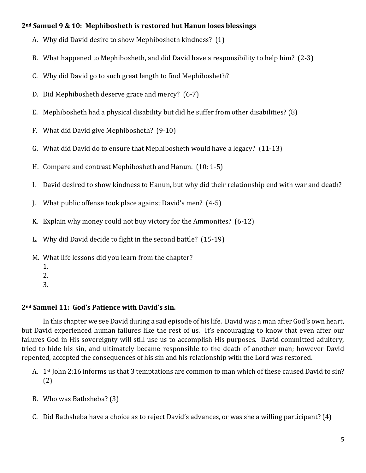### **2nd Samuel 9 & 10: Mephibosheth is restored but Hanun loses blessings**

- A. Why did David desire to show Mephibosheth kindness? (1)
- B. What happened to Mephibosheth, and did David have a responsibility to help him? (2-3)
- C. Why did David go to such great length to find Mephibosheth?
- D. Did Mephibosheth deserve grace and mercy? (6-7)
- E. Mephibosheth had a physical disability but did he suffer from other disabilities? (8)
- F. What did David give Mephibosheth? (9-10)
- G. What did David do to ensure that Mephibosheth would have a legacy? (11-13)
- H. Compare and contrast Mephibosheth and Hanun. (10: 1-5)
- I. David desired to show kindness to Hanun, but why did their relationship end with war and death?
- J. What public offense took place against David's men? (4-5)
- K. Explain why money could not buy victory for the Ammonites? (6-12)
- L. Why did David decide to fight in the second battle? (15-19)
- M. What life lessons did you learn from the chapter?
	- 1.
		-
	- 2.
	- 3.

# **2nd Samuel 11: God's Patience with David's sin.**

In this chapter we see David during a sad episode of his life. David was a man after God's own heart, but David experienced human failures like the rest of us. It's encouraging to know that even after our failures God in His sovereignty will still use us to accomplish His purposes. David committed adultery, tried to hide his sin, and ultimately became responsible to the death of another man; however David repented, accepted the consequences of his sin and his relationship with the Lord was restored.

- A. 1st John 2:16 informs us that 3 temptations are common to man which of these caused David to sin? (2)
- B. Who was Bathsheba? (3)
- C. Did Bathsheba have a choice as to reject David's advances, or was she a willing participant? (4)